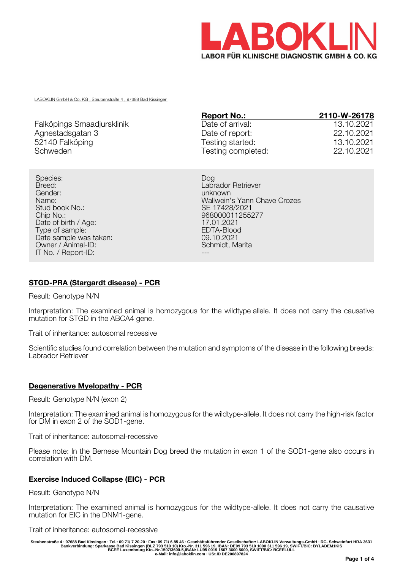

LABOKLIN GmbH & Co. KG , Steubenstraße 4 , 97688 Bad Kissingen

|                            | <b>Report No.:</b> | 2110-W-26178 |
|----------------------------|--------------------|--------------|
| Falköpings Smaadjursklinik | Date of arrival:   | 13.10.2021   |
| Agnestadsgatan 3           | Date of report:    | 22.10.2021   |
| 52140 Falköping            | Testing started:   | 13.10.2021   |
| Schweden                   | Testing completed: | 22.10.2021   |

Species: Dog Breed: Labrador Retriever Stud book No.: Stud book No.: SE 17428/2021<br>Chip No.: Section 1255 Date of birth / Age: 17.01.2021<br>
Type of sample: 17.01.2021<br>
FDTA-Blood Type of sample: EDTA-Blood EDTA-Blood EDTA-Blood EDTA-Blood EDTA-Blood EDTA-Blood EDTA-Blood EDTA-Blood EDTA-Blood EDTA-Blood EDTA-Blood EDTA-Blood EDTA-Blood EDTA-Blood EDTA-Blood EDTA-Blood EDTA-Blood EDTA-Blood EDTA-Blo Date sample was taken: 09.10.2021<br>
Owner / Animal-ID: 09.10.2021 Owner / Animal-ID: IT No. / Report-ID:

unknown Name:<br>
Stud book No.:<br>
Stud book No.:<br>
Stud book No.: 968000011255277<br>17.01.2021

# **STGD-PRA (Stargardt disease) - PCR**

Result: Genotype N/N

Interpretation: The examined animal is homozygous for the wildtype allele. It does not carry the causative mutation for STGD in the ABCA4 gene.

Trait of inheritance: autosomal recessive

Scientific studies found correlation between the mutation and symptoms of the disease in the following breeds: Labrador Retriever

## **Degenerative Myelopathy - PCR**

Result: Genotype N/N (exon 2)

Interpretation: The examined animal is homozygous for the wildtype-allele. It does not carry the high-risk factor for DM in exon 2 of the SOD1-gene.

Trait of inheritance: autosomal-recessive

Please note: In the Bernese Mountain Dog breed the mutation in exon 1 of the SOD1-gene also occurs in correlation with DM.

## **Exercise Induced Collapse (EIC) - PCR**

Result: Genotype N/N

Interpretation: The examined animal is homozygous for the wildtype-allele. It does not carry the causative mutation for EIC in the DNM1-gene.

Trait of inheritance: autosomal-recessive

Steubenstraße 4 · 97688 Bad Kissingen · Tel.: 09 71/ 7 20 20 · Fax: 09 71/ 6 85 46 · Geschäftsführender Gesellschafter: LABOKLIN Verwaltungs-GmbH · RG. Schweinfurt HRA 3631<br>Bankverbindung: Sparkasse Bad Kissingen (BLZ 793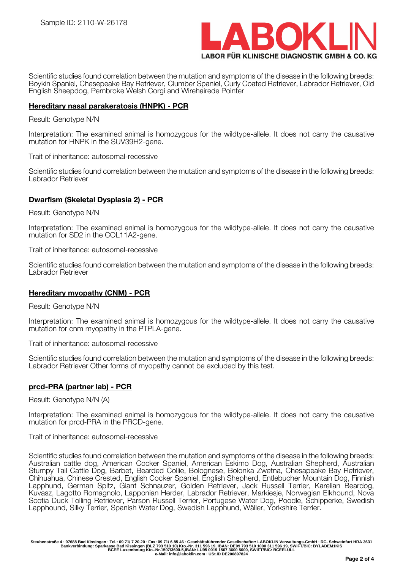

Scientific studies found correlation between the mutation and symptoms of the disease in the following breeds: Boykin Spaniel, Chesepeake Bay Retriever, Clumber Spaniel, Curly Coated Retriever, Labrador Retriever, Old English Sheepdog, Pembroke Welsh Corgi and Wirehairede Pointer

## **Hereditary nasal parakeratosis (HNPK) - PCR**

#### Result: Genotype N/N

Interpretation: The examined animal is homozygous for the wildtype-allele. It does not carry the causative mutation for HNPK in the SUV39H2-gene.

Trait of inheritance: autosomal-recessive

Scientific studies found correlation between the mutation and symptoms of the disease in the following breeds: Labrador Retriever

# **Dwarfism (Skeletal Dysplasia 2) - PCR**

Result: Genotype N/N

Interpretation: The examined animal is homozygous for the wildtype-allele. It does not carry the causative mutation for SD2 in the COL11A2-gene.

Trait of inheritance: autosomal-recessive

Scientific studies found correlation between the mutation and symptoms of the disease in the following breeds: Labrador Retriever

## **Hereditary myopathy (CNM) - PCR**

Result: Genotype N/N

Interpretation: The examined animal is homozygous for the wildtype-allele. It does not carry the causative mutation for cnm myopathy in the PTPLA-gene.

Trait of inheritance: autosomal-recessive

Scientific studies found correlation between the mutation and symptoms of the disease in the following breeds: Labrador Retriever Other forms of myopathy cannot be excluded by this test.

## **prcd-PRA (partner lab) - PCR**

Result: Genotype N/N (A)

Interpretation: The examined animal is homozygous for the wildtype-allele. It does not carry the causative mutation for prcd-PRA in the PRCD-gene.

Trait of inheritance: autosomal-recessive

Scientific studies found correlation between the mutation and symptoms of the disease in the following breeds: Australian cattle dog, American Cocker Spaniel, American Eskimo Dog, Australian Shepherd, Australian Stumpy Tail Cattle Dog, Barbet, Bearded Collie, Bolognese, Bolonka Zwetna, Chesapeake Bay Retriever, Chihuahua, Chinese Crested, English Cocker Spaniel, English Shepherd, Entlebucher Mountain Dog, Finnish Lapphund, German Spitz, Giant Schnauzer, Golden Retriever, Jack Russell Terrier, Karelian Beardog, Kuvasz, Lagotto Romagnolo, Lapponian Herder, Labrador Retriever, Markiesje, Norwegian Elkhound, Nova Scotia Duck Tolling Retriever, Parson Russell Terrier, Portugese Water Dog, Poodle, Schipperke, Swedish Lapphound, Silky Terrier, Spanish Water Dog, Swedish Lapphund, Wäller, Yorkshire Terrier.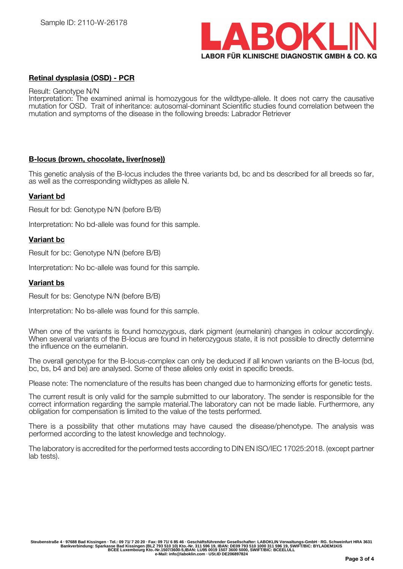

# **Retinal dysplasia (OSD) - PCR**

#### Result: Genotype N/N

Interpretation: The examined animal is homozygous for the wildtype-allele. It does not carry the causative mutation for OSD. Trait of inheritance: autosomal-dominant Scientific studies found correlation between the mutation and symptoms of the disease in the following breeds: Labrador Retriever

# **B-locus (brown, chocolate, liver(nose))**

This genetic analysis of the B-locus includes the three variants bd, bc and bs described for all breeds so far, as well as the corresponding wildtypes as allele N.

# **Variant bd**

Result for bd: Genotype N/N (before B/B)

Interpretation: No bd-allele was found for this sample.

# **Variant bc**

Result for bc: Genotype N/N (before B/B)

Interpretation: No bc-allele was found for this sample.

## **Variant bs**

Result for bs: Genotype N/N (before B/B)

Interpretation: No bs-allele was found for this sample.

When one of the variants is found homozygous, dark pigment (eumelanin) changes in colour accordingly. When several variants of the B-locus are found in heterozygous state, it is not possible to directly determine the influence on the eumelanin.

The overall genotype for the B-locus-complex can only be deduced if all known variants on the B-locus (bd, bc, bs, b4 and be) are analysed. Some of these alleles only exist in specific breeds.

Please note: The nomenclature of the results has been changed due to harmonizing efforts for genetic tests.

The current result is only valid for the sample submitted to our laboratory. The sender is responsible for the correct information regarding the sample material.The laboratory can not be made liable. Furthermore, any obligation for compensation is limited to the value of the tests performed.

There is a possibility that other mutations may have caused the disease/phenotype. The analysis was performed according to the latest knowledge and technology.

The laboratory is accredited for the performed tests according to DIN EN ISO/IEC 17025:2018. (except partner lab tests).